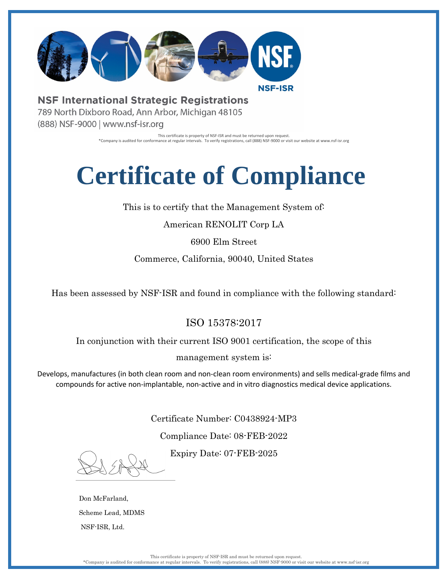

**NSF International Strategic Registrations** 789 North Dixboro Road, Ann Arbor, Michigan 48105 (888) NSF-9000 | www.nsf-isr.org

> This certificate is property of NSF-ISR and must be returned upon request. \*Company is audited for conformance at regular intervals. To verify registrations, call (888) NSF-9000 or visit our website at www.nsf-isr.org

## **Certificate of Compliance**

This is to certify that the Management System of:

American RENOLIT Corp LA

6900 Elm Street

Commerce, California, 90040, United States

Has been assessed by NSF-ISR and found in compliance with the following standard:

## ISO 15378:2017

In conjunction with their current ISO 9001 certification, the scope of this

management system is:

Develops, manufactures (in both clean room and non-clean room environments) and sells medical-grade films and compounds for active non-implantable, non-active and in vitro diagnostics medical device applications.

Certificate Number: C0438924-MP3

Compliance Date: 08-FEB-2022

Expiry Date: 07-FEB-2025

Don McFarland, Scheme Lead, MDMS NSF-ISR, Ltd.